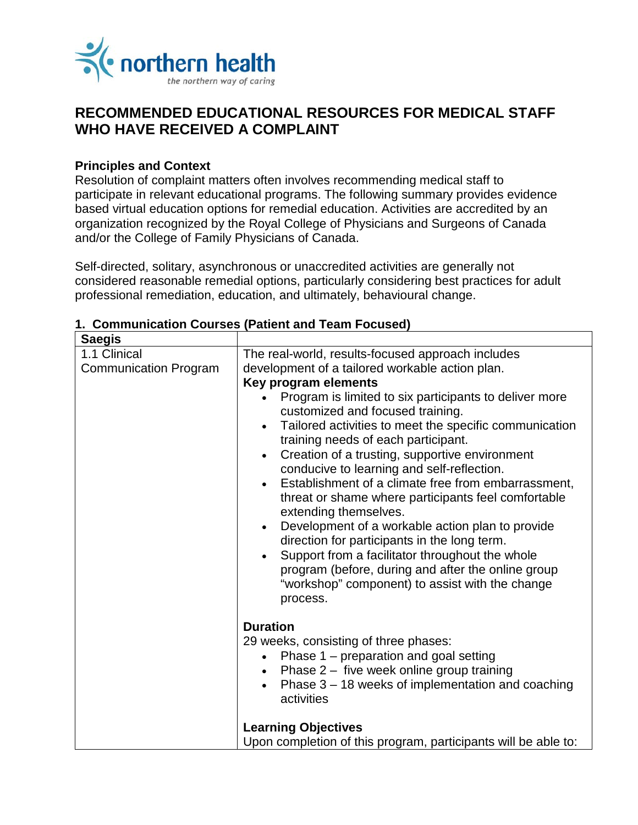

# **RECOMMENDED EDUCATIONAL RESOURCES FOR MEDICAL STAFF WHO HAVE RECEIVED A COMPLAINT**

## **Principles and Context**

Resolution of complaint matters often involves recommending medical staff to participate in relevant educational programs. The following summary provides evidence based virtual education options for remedial education. Activities are accredited by an organization recognized by the Royal College of Physicians and Surgeons of Canada and/or the College of Family Physicians of Canada.

Self-directed, solitary, asynchronous or unaccredited activities are generally not considered reasonable remedial options, particularly considering best practices for adult professional remediation, education, and ultimately, behavioural change.

| <b>Saegis</b>                                |                                                                                                                                                                                                                                                                                                                                                                                                                                                                                                                                                                                                                                                                                                                                                                                                                                                                                                    |
|----------------------------------------------|----------------------------------------------------------------------------------------------------------------------------------------------------------------------------------------------------------------------------------------------------------------------------------------------------------------------------------------------------------------------------------------------------------------------------------------------------------------------------------------------------------------------------------------------------------------------------------------------------------------------------------------------------------------------------------------------------------------------------------------------------------------------------------------------------------------------------------------------------------------------------------------------------|
| 1.1 Clinical<br><b>Communication Program</b> | The real-world, results-focused approach includes<br>development of a tailored workable action plan.<br>Key program elements<br>Program is limited to six participants to deliver more<br>customized and focused training.<br>Tailored activities to meet the specific communication<br>$\bullet$<br>training needs of each participant.<br>Creation of a trusting, supportive environment<br>$\bullet$<br>conducive to learning and self-reflection.<br>Establishment of a climate free from embarrassment,<br>$\bullet$<br>threat or shame where participants feel comfortable<br>extending themselves.<br>Development of a workable action plan to provide<br>$\bullet$<br>direction for participants in the long term.<br>Support from a facilitator throughout the whole<br>program (before, during and after the online group<br>"workshop" component) to assist with the change<br>process. |
|                                              | <b>Duration</b><br>29 weeks, consisting of three phases:<br>Phase 1 – preparation and goal setting<br>$\bullet$<br>Phase $2 -$ five week online group training<br>$\bullet$<br>Phase $3 - 18$ weeks of implementation and coaching<br>$\bullet$<br>activities<br><b>Learning Objectives</b><br>Upon completion of this program, participants will be able to:                                                                                                                                                                                                                                                                                                                                                                                                                                                                                                                                      |

#### **1. Communication Courses (Patient and Team Focused)**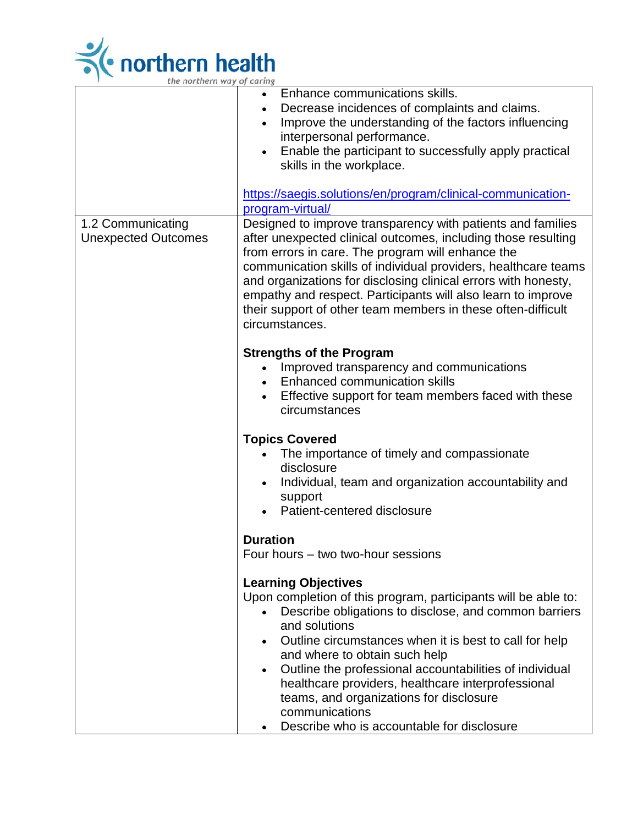

|                                                 | Enhance communications skills.<br>$\bullet$<br>Decrease incidences of complaints and claims.<br>$\bullet$<br>Improve the understanding of the factors influencing<br>$\bullet$<br>interpersonal performance.<br>Enable the participant to successfully apply practical<br>$\bullet$<br>skills in the workplace.<br>https://saegis.solutions/en/program/clinical-communication-                                                                                                                                          |
|-------------------------------------------------|-------------------------------------------------------------------------------------------------------------------------------------------------------------------------------------------------------------------------------------------------------------------------------------------------------------------------------------------------------------------------------------------------------------------------------------------------------------------------------------------------------------------------|
|                                                 | program-virtual/                                                                                                                                                                                                                                                                                                                                                                                                                                                                                                        |
| 1.2 Communicating<br><b>Unexpected Outcomes</b> | Designed to improve transparency with patients and families<br>after unexpected clinical outcomes, including those resulting<br>from errors in care. The program will enhance the<br>communication skills of individual providers, healthcare teams<br>and organizations for disclosing clinical errors with honesty,<br>empathy and respect. Participants will also learn to improve<br>their support of other team members in these often-difficult<br>circumstances.                                                 |
|                                                 | <b>Strengths of the Program</b><br>Improved transparency and communications<br>Enhanced communication skills<br>Effective support for team members faced with these<br>circumstances                                                                                                                                                                                                                                                                                                                                    |
|                                                 | <b>Topics Covered</b><br>The importance of timely and compassionate<br>disclosure<br>Individual, team and organization accountability and<br>support<br>Patient-centered disclosure                                                                                                                                                                                                                                                                                                                                     |
|                                                 | <b>Duration</b><br>Four hours - two two-hour sessions                                                                                                                                                                                                                                                                                                                                                                                                                                                                   |
|                                                 | <b>Learning Objectives</b><br>Upon completion of this program, participants will be able to:<br>Describe obligations to disclose, and common barriers<br>and solutions<br>Outline circumstances when it is best to call for help<br>$\bullet$<br>and where to obtain such help<br>Outline the professional accountabilities of individual<br>$\bullet$<br>healthcare providers, healthcare interprofessional<br>teams, and organizations for disclosure<br>communications<br>Describe who is accountable for disclosure |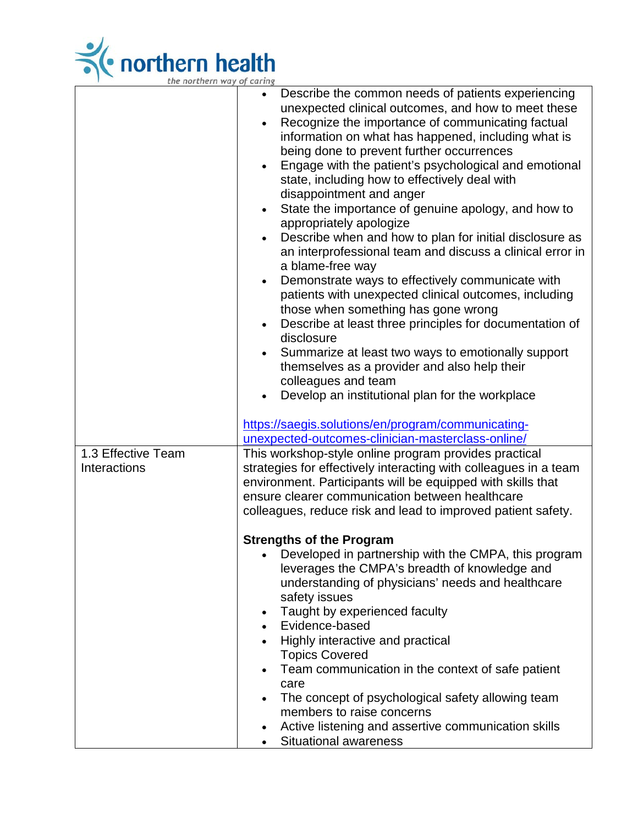

| <i>ale normern</i> way of caring |                                                                                                                                                                                                                                                                                                                                                                                                                                                                                                                                                                                                                                                                                                                                                                                                                                                                                                                                                                                                                                                                                                                                                                                                                    |
|----------------------------------|--------------------------------------------------------------------------------------------------------------------------------------------------------------------------------------------------------------------------------------------------------------------------------------------------------------------------------------------------------------------------------------------------------------------------------------------------------------------------------------------------------------------------------------------------------------------------------------------------------------------------------------------------------------------------------------------------------------------------------------------------------------------------------------------------------------------------------------------------------------------------------------------------------------------------------------------------------------------------------------------------------------------------------------------------------------------------------------------------------------------------------------------------------------------------------------------------------------------|
|                                  | Describe the common needs of patients experiencing<br>$\bullet$<br>unexpected clinical outcomes, and how to meet these<br>Recognize the importance of communicating factual<br>$\bullet$<br>information on what has happened, including what is<br>being done to prevent further occurrences<br>Engage with the patient's psychological and emotional<br>state, including how to effectively deal with<br>disappointment and anger<br>State the importance of genuine apology, and how to<br>$\bullet$<br>appropriately apologize<br>Describe when and how to plan for initial disclosure as<br>an interprofessional team and discuss a clinical error in<br>a blame-free way<br>Demonstrate ways to effectively communicate with<br>$\bullet$<br>patients with unexpected clinical outcomes, including<br>those when something has gone wrong<br>Describe at least three principles for documentation of<br>disclosure<br>Summarize at least two ways to emotionally support<br>themselves as a provider and also help their<br>colleagues and team<br>Develop an institutional plan for the workplace<br>https://saegis.solutions/en/program/communicating-<br>unexpected-outcomes-clinician-masterclass-online/ |
| 1.3 Effective Team               | This workshop-style online program provides practical                                                                                                                                                                                                                                                                                                                                                                                                                                                                                                                                                                                                                                                                                                                                                                                                                                                                                                                                                                                                                                                                                                                                                              |
| Interactions                     | strategies for effectively interacting with colleagues in a team<br>environment. Participants will be equipped with skills that                                                                                                                                                                                                                                                                                                                                                                                                                                                                                                                                                                                                                                                                                                                                                                                                                                                                                                                                                                                                                                                                                    |
|                                  | ensure clearer communication between healthcare<br>colleagues, reduce risk and lead to improved patient safety.                                                                                                                                                                                                                                                                                                                                                                                                                                                                                                                                                                                                                                                                                                                                                                                                                                                                                                                                                                                                                                                                                                    |
|                                  |                                                                                                                                                                                                                                                                                                                                                                                                                                                                                                                                                                                                                                                                                                                                                                                                                                                                                                                                                                                                                                                                                                                                                                                                                    |
|                                  | <b>Strengths of the Program</b><br>Developed in partnership with the CMPA, this program<br>leverages the CMPA's breadth of knowledge and<br>understanding of physicians' needs and healthcare<br>safety issues<br>Taught by experienced faculty                                                                                                                                                                                                                                                                                                                                                                                                                                                                                                                                                                                                                                                                                                                                                                                                                                                                                                                                                                    |
|                                  | Evidence-based<br>Highly interactive and practical                                                                                                                                                                                                                                                                                                                                                                                                                                                                                                                                                                                                                                                                                                                                                                                                                                                                                                                                                                                                                                                                                                                                                                 |
|                                  | <b>Topics Covered</b><br>Team communication in the context of safe patient                                                                                                                                                                                                                                                                                                                                                                                                                                                                                                                                                                                                                                                                                                                                                                                                                                                                                                                                                                                                                                                                                                                                         |
|                                  | care                                                                                                                                                                                                                                                                                                                                                                                                                                                                                                                                                                                                                                                                                                                                                                                                                                                                                                                                                                                                                                                                                                                                                                                                               |
|                                  | The concept of psychological safety allowing team<br>members to raise concerns                                                                                                                                                                                                                                                                                                                                                                                                                                                                                                                                                                                                                                                                                                                                                                                                                                                                                                                                                                                                                                                                                                                                     |
|                                  | Active listening and assertive communication skills<br><b>Situational awareness</b>                                                                                                                                                                                                                                                                                                                                                                                                                                                                                                                                                                                                                                                                                                                                                                                                                                                                                                                                                                                                                                                                                                                                |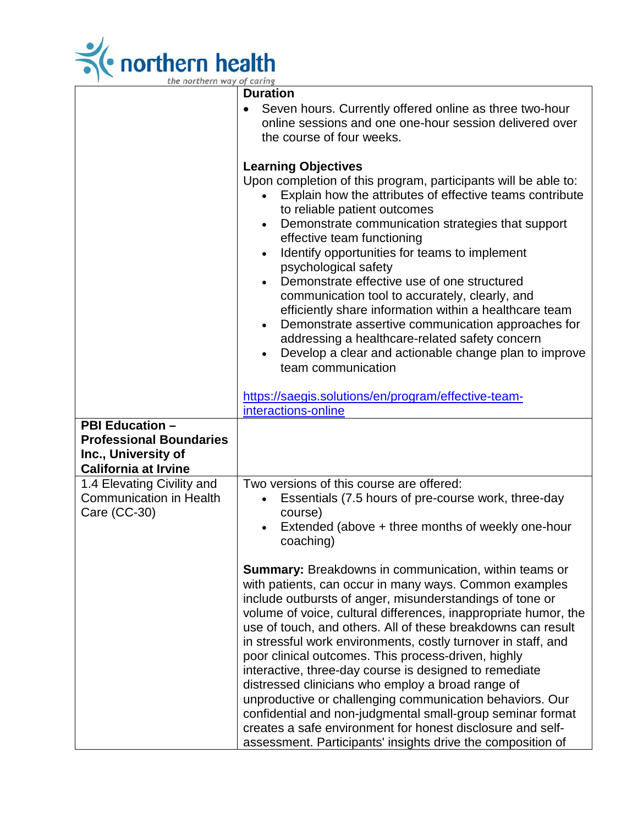

| the northern way of caring                                                                                  |                                                                                                                                                                                                                                                                                                                                                                                                                                                                                                                                                                                                                                                                                                                                                                                                                                                                        |  |
|-------------------------------------------------------------------------------------------------------------|------------------------------------------------------------------------------------------------------------------------------------------------------------------------------------------------------------------------------------------------------------------------------------------------------------------------------------------------------------------------------------------------------------------------------------------------------------------------------------------------------------------------------------------------------------------------------------------------------------------------------------------------------------------------------------------------------------------------------------------------------------------------------------------------------------------------------------------------------------------------|--|
|                                                                                                             | <b>Duration</b><br>Seven hours. Currently offered online as three two-hour<br>online sessions and one one-hour session delivered over<br>the course of four weeks.<br><b>Learning Objectives</b><br>Upon completion of this program, participants will be able to:<br>Explain how the attributes of effective teams contribute<br>$\bullet$<br>to reliable patient outcomes<br>Demonstrate communication strategies that support<br>$\bullet$<br>effective team functioning<br>Identify opportunities for teams to implement<br>$\bullet$<br>psychological safety<br>Demonstrate effective use of one structured<br>$\bullet$<br>communication tool to accurately, clearly, and                                                                                                                                                                                        |  |
| <b>PBI Education -</b><br><b>Professional Boundaries</b><br>Inc., University of                             | efficiently share information within a healthcare team<br>Demonstrate assertive communication approaches for<br>$\bullet$<br>addressing a healthcare-related safety concern<br>Develop a clear and actionable change plan to improve<br>team communication<br>https://saegis.solutions/en/program/effective-team-<br>interactions-online                                                                                                                                                                                                                                                                                                                                                                                                                                                                                                                               |  |
| <b>California at Irvine</b><br>1.4 Elevating Civility and<br><b>Communication in Health</b><br>Care (CC-30) | Two versions of this course are offered:<br>Essentials (7.5 hours of pre-course work, three-day<br>course)<br>Extended (above + three months of weekly one-hour<br>coaching)<br><b>Summary:</b> Breakdowns in communication, within teams or<br>with patients, can occur in many ways. Common examples<br>include outbursts of anger, misunderstandings of tone or<br>volume of voice, cultural differences, inappropriate humor, the<br>use of touch, and others. All of these breakdowns can result<br>in stressful work environments, costly turnover in staff, and<br>poor clinical outcomes. This process-driven, highly<br>interactive, three-day course is designed to remediate<br>distressed clinicians who employ a broad range of<br>unproductive or challenging communication behaviors. Our<br>confidential and non-judgmental small-group seminar format |  |
|                                                                                                             | creates a safe environment for honest disclosure and self-<br>assessment. Participants' insights drive the composition of                                                                                                                                                                                                                                                                                                                                                                                                                                                                                                                                                                                                                                                                                                                                              |  |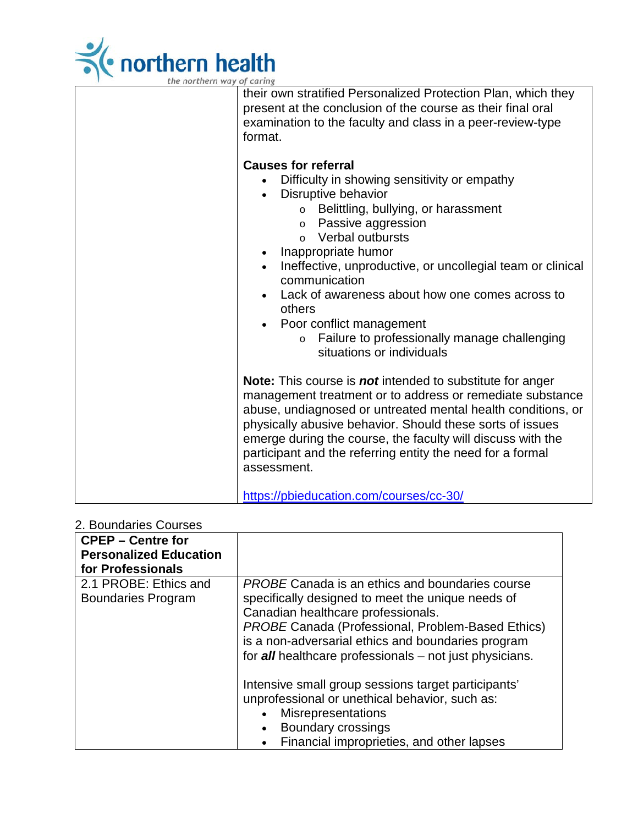

| the northern way of caring                                                                                                                                                                                                                                                                                                                                                                                                                                                                                                       |
|----------------------------------------------------------------------------------------------------------------------------------------------------------------------------------------------------------------------------------------------------------------------------------------------------------------------------------------------------------------------------------------------------------------------------------------------------------------------------------------------------------------------------------|
| their own stratified Personalized Protection Plan, which they<br>present at the conclusion of the course as their final oral<br>examination to the faculty and class in a peer-review-type<br>format.                                                                                                                                                                                                                                                                                                                            |
| <b>Causes for referral</b><br>Difficulty in showing sensitivity or empathy<br>Disruptive behavior<br>$\bullet$<br>○ Belittling, bullying, or harassment<br>o Passive aggression<br>Verbal outbursts<br>$\Omega$<br>Inappropriate humor<br>$\bullet$<br>Ineffective, unproductive, or uncollegial team or clinical<br>$\bullet$<br>communication<br>Lack of awareness about how one comes across to<br>others<br>Poor conflict management<br>Failure to professionally manage challenging<br>$\circ$<br>situations or individuals |
| <b>Note:</b> This course is <b>not</b> intended to substitute for anger<br>management treatment or to address or remediate substance<br>abuse, undiagnosed or untreated mental health conditions, or<br>physically abusive behavior. Should these sorts of issues<br>emerge during the course, the faculty will discuss with the<br>participant and the referring entity the need for a formal<br>assessment.<br>https://pbieducation.com/courses/cc-30/                                                                         |

### 2. Boundaries Courses

| <b>CPEP – Centre for</b>                           |                                                                                                                                                                                                                                                                                                                                |
|----------------------------------------------------|--------------------------------------------------------------------------------------------------------------------------------------------------------------------------------------------------------------------------------------------------------------------------------------------------------------------------------|
| <b>Personalized Education</b>                      |                                                                                                                                                                                                                                                                                                                                |
| for Professionals                                  |                                                                                                                                                                                                                                                                                                                                |
| 2.1 PROBE: Ethics and<br><b>Boundaries Program</b> | <b>PROBE Canada is an ethics and boundaries course</b><br>specifically designed to meet the unique needs of<br>Canadian healthcare professionals.<br><b>PROBE Canada (Professional, Problem-Based Ethics)</b><br>is a non-adversarial ethics and boundaries program<br>for all healthcare professionals – not just physicians. |
|                                                    | Intensive small group sessions target participants'<br>unprofessional or unethical behavior, such as:<br><b>Misrepresentations</b><br>Boundary crossings<br>Financial improprieties, and other lapses                                                                                                                          |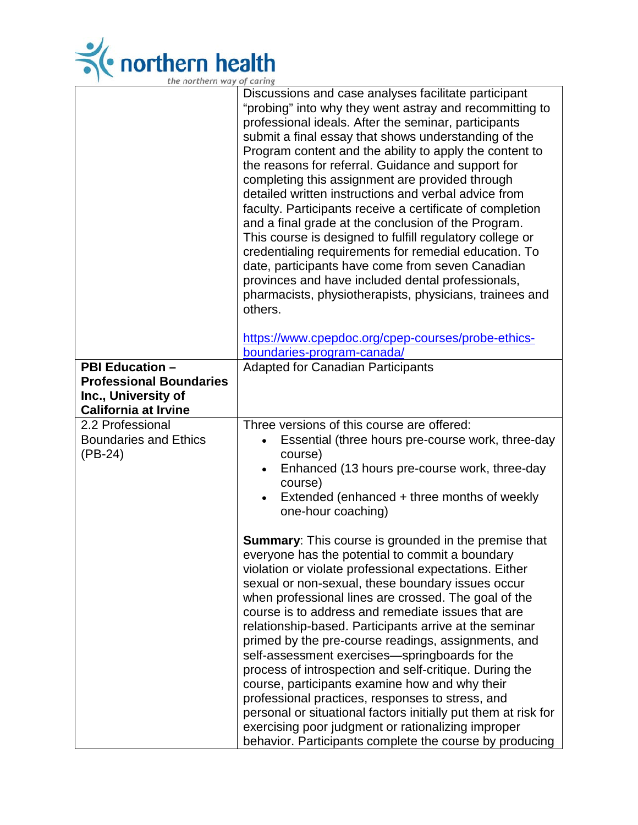

|                                                                                                                | Discussions and case analyses facilitate participant<br>"probing" into why they went astray and recommitting to<br>professional ideals. After the seminar, participants<br>submit a final essay that shows understanding of the<br>Program content and the ability to apply the content to<br>the reasons for referral. Guidance and support for<br>completing this assignment are provided through<br>detailed written instructions and verbal advice from<br>faculty. Participants receive a certificate of completion<br>and a final grade at the conclusion of the Program.<br>This course is designed to fulfill regulatory college or<br>credentialing requirements for remedial education. To<br>date, participants have come from seven Canadian<br>provinces and have included dental professionals,<br>pharmacists, physiotherapists, physicians, trainees and<br>others. |
|----------------------------------------------------------------------------------------------------------------|-------------------------------------------------------------------------------------------------------------------------------------------------------------------------------------------------------------------------------------------------------------------------------------------------------------------------------------------------------------------------------------------------------------------------------------------------------------------------------------------------------------------------------------------------------------------------------------------------------------------------------------------------------------------------------------------------------------------------------------------------------------------------------------------------------------------------------------------------------------------------------------|
|                                                                                                                | https://www.cpepdoc.org/cpep-courses/probe-ethics-<br>boundaries-program-canada/                                                                                                                                                                                                                                                                                                                                                                                                                                                                                                                                                                                                                                                                                                                                                                                                    |
| <b>PBI Education -</b><br><b>Professional Boundaries</b><br>Inc., University of<br><b>California at Irvine</b> | <b>Adapted for Canadian Participants</b>                                                                                                                                                                                                                                                                                                                                                                                                                                                                                                                                                                                                                                                                                                                                                                                                                                            |
| 2.2 Professional<br><b>Boundaries and Ethics</b><br>(PB-24)                                                    | Three versions of this course are offered:<br>Essential (three hours pre-course work, three-day<br>course)<br>Enhanced (13 hours pre-course work, three-day<br>$\bullet$<br>course)<br>Extended (enhanced + three months of weekly<br>one-hour coaching)                                                                                                                                                                                                                                                                                                                                                                                                                                                                                                                                                                                                                            |
|                                                                                                                | <b>Summary:</b> This course is grounded in the premise that<br>everyone has the potential to commit a boundary<br>violation or violate professional expectations. Either<br>sexual or non-sexual, these boundary issues occur<br>when professional lines are crossed. The goal of the<br>course is to address and remediate issues that are<br>relationship-based. Participants arrive at the seminar<br>primed by the pre-course readings, assignments, and<br>self-assessment exercises-springboards for the<br>process of introspection and self-critique. During the<br>course, participants examine how and why their<br>professional practices, responses to stress, and<br>personal or situational factors initially put them at risk for<br>exercising poor judgment or rationalizing improper<br>behavior. Participants complete the course by producing                   |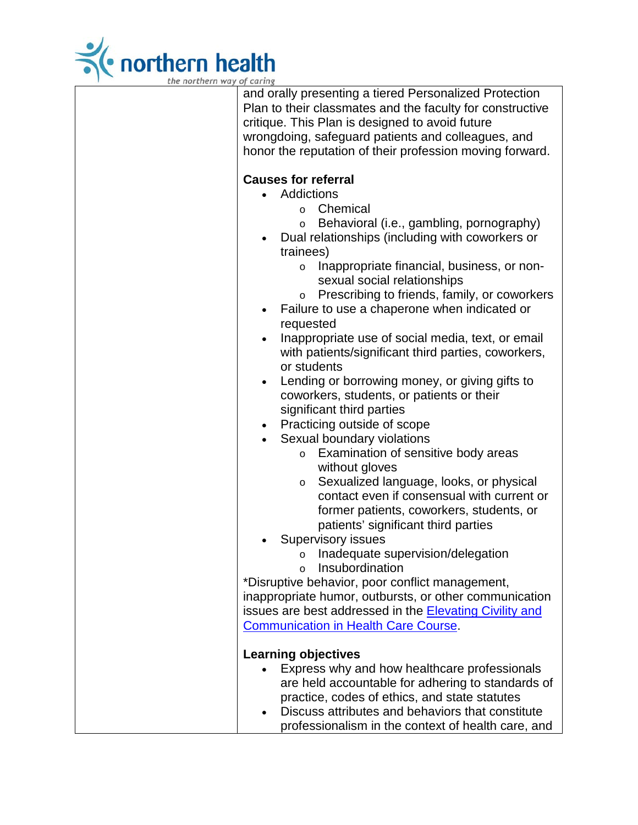

| and orally presenting a tiered Personalized Protection<br>Plan to their classmates and the faculty for constructive<br>critique. This Plan is designed to avoid future<br>wrongdoing, safeguard patients and colleagues, and<br>honor the reputation of their profession moving forward.                                                                                                                                         |
|----------------------------------------------------------------------------------------------------------------------------------------------------------------------------------------------------------------------------------------------------------------------------------------------------------------------------------------------------------------------------------------------------------------------------------|
| <b>Causes for referral</b><br>Addictions<br>$\bullet$<br>Chemical<br>$\circ$<br>Behavioral (i.e., gambling, pornography)<br>$\circ$<br>Dual relationships (including with coworkers or<br>$\bullet$<br>trainees)<br>Inappropriate financial, business, or non-<br>$\circ$<br>sexual social relationships<br>Prescribing to friends, family, or coworkers<br>$\circ$<br>Failure to use a chaperone when indicated or<br>$\bullet$ |
| requested<br>Inappropriate use of social media, text, or email<br>$\bullet$<br>with patients/significant third parties, coworkers,<br>or students<br>Lending or borrowing money, or giving gifts to<br>$\bullet$<br>coworkers, students, or patients or their<br>significant third parties                                                                                                                                       |
| Practicing outside of scope<br>$\bullet$<br>Sexual boundary violations<br>Examination of sensitive body areas<br>$\circ$<br>without gloves<br>Sexualized language, looks, or physical<br>$\circ$<br>contact even if consensual with current or<br>former patients, coworkers, students, or<br>patients' significant third parties                                                                                                |
| <b>Supervisory issues</b><br>Inadequate supervision/delegation<br>Insubordination<br>$\circ$<br>*Disruptive behavior, poor conflict management,<br>inappropriate humor, outbursts, or other communication<br>issues are best addressed in the <b>Elevating Civility and</b><br><b>Communication in Health Care Course.</b>                                                                                                       |
| <b>Learning objectives</b><br>Express why and how healthcare professionals<br>are held accountable for adhering to standards of<br>practice, codes of ethics, and state statutes<br>Discuss attributes and behaviors that constitute<br>professionalism in the context of health care, and                                                                                                                                       |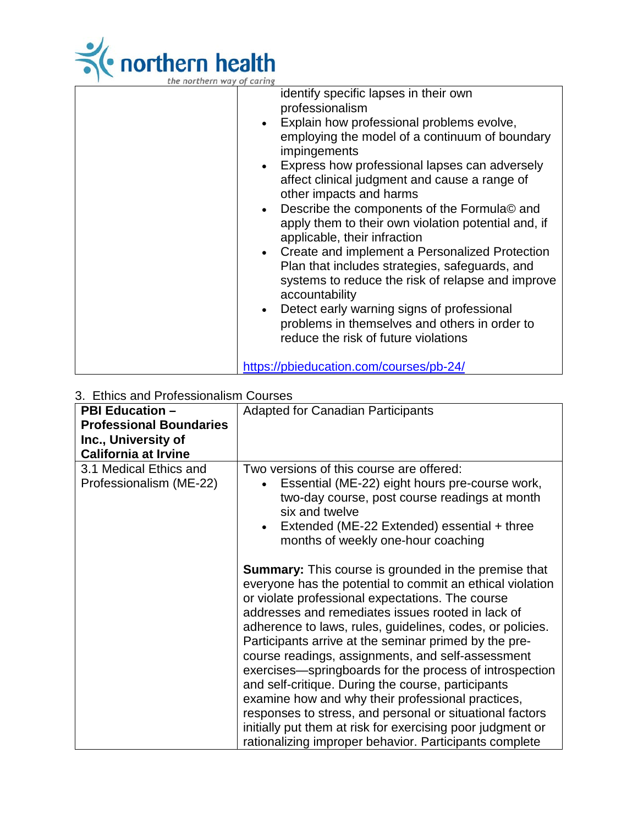

| the northern way of caring |  |  |
|----------------------------|--|--|

| $\frac{1}{2}$ |                                                                                                                           |
|---------------|---------------------------------------------------------------------------------------------------------------------------|
|               | identify specific lapses in their own<br>professionalism                                                                  |
|               | Explain how professional problems evolve,<br>employing the model of a continuum of boundary                               |
|               | impingements                                                                                                              |
|               | Express how professional lapses can adversely<br>affect clinical judgment and cause a range of<br>other impacts and harms |
|               | Describe the components of the Formula© and                                                                               |
|               | apply them to their own violation potential and, if<br>applicable, their infraction                                       |
|               | Create and implement a Personalized Protection<br>Plan that includes strategies, safeguards, and                          |
|               | systems to reduce the risk of relapse and improve<br>accountability                                                       |
|               | Detect early warning signs of professional                                                                                |
|               | problems in themselves and others in order to                                                                             |
|               | reduce the risk of future violations                                                                                      |
|               | https://pbieducation.com/courses/pb-24/                                                                                   |

# 3. Ethics and Professionalism Courses

| 3. Ethics and FTORESSION alism Courses |                                                             |
|----------------------------------------|-------------------------------------------------------------|
| <b>PBI Education -</b>                 | <b>Adapted for Canadian Participants</b>                    |
| <b>Professional Boundaries</b>         |                                                             |
| Inc., University of                    |                                                             |
| <b>California at Irvine</b>            |                                                             |
| 3.1 Medical Ethics and                 | Two versions of this course are offered:                    |
|                                        |                                                             |
| Professionalism (ME-22)                | Essential (ME-22) eight hours pre-course work,              |
|                                        | two-day course, post course readings at month               |
|                                        | six and twelve                                              |
|                                        | Extended (ME-22 Extended) essential + three                 |
|                                        | months of weekly one-hour coaching                          |
|                                        |                                                             |
|                                        | <b>Summary:</b> This course is grounded in the premise that |
|                                        | everyone has the potential to commit an ethical violation   |
|                                        | or violate professional expectations. The course            |
|                                        | addresses and remediates issues rooted in lack of           |
|                                        |                                                             |
|                                        | adherence to laws, rules, guidelines, codes, or policies.   |
|                                        | Participants arrive at the seminar primed by the pre-       |
|                                        | course readings, assignments, and self-assessment           |
|                                        | exercises—springboards for the process of introspection     |
|                                        | and self-critique. During the course, participants          |
|                                        | examine how and why their professional practices,           |
|                                        | responses to stress, and personal or situational factors    |
|                                        | initially put them at risk for exercising poor judgment or  |
|                                        |                                                             |
|                                        | rationalizing improper behavior. Participants complete      |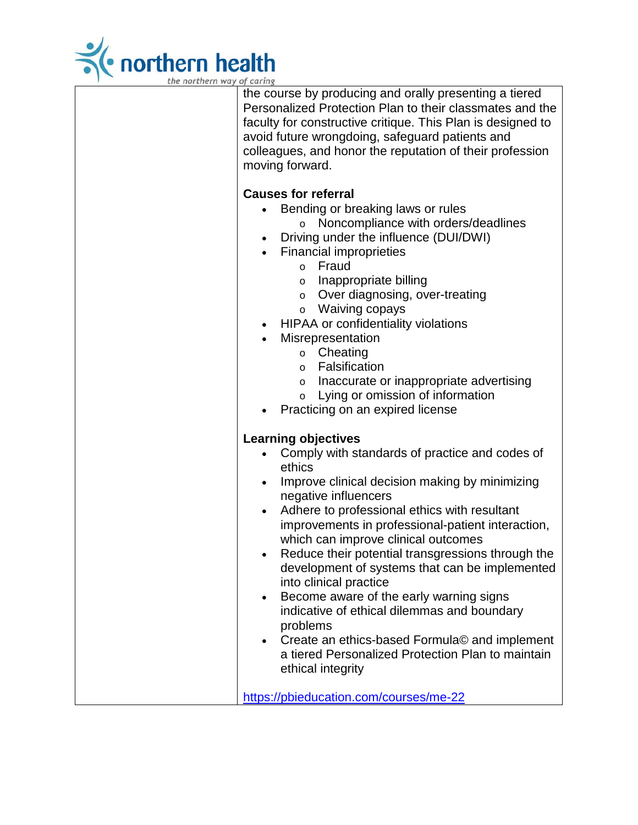

the course by producing and orally presenting a tiered Personalized Protection Plan to their classmates and the faculty for constructive critique. This Plan is designed to avoid future wrongdoing, safeguard patients and colleagues, and honor the reputation of their profession moving forward.

## **Causes for referral**

- Bending or breaking laws or rules
	- o Noncompliance with orders/deadlines
- Driving under the influence (DUI/DWI)
- Financial improprieties
	- o Fraud
		- o Inappropriate billing
		- o Over diagnosing, over-treating
	- o Waiving copays
- HIPAA or confidentiality violations
	- **Misrepresentation** 
		- o Cheating
		- o Falsification
		- o Inaccurate or inappropriate advertising
		- o Lying or omission of information
- Practicing on an expired license

### **Learning objectives**

- Comply with standards of practice and codes of ethics
- Improve clinical decision making by minimizing negative influencers
- Adhere to professional ethics with resultant improvements in professional-patient interaction, which can improve clinical outcomes
- Reduce their potential transgressions through the development of systems that can be implemented into clinical practice
- Become aware of the early warning signs indicative of ethical dilemmas and boundary problems
- Create an ethics-based Formula© and implement a tiered Personalized Protection Plan to maintain ethical integrity

<https://pbieducation.com/courses/me-22>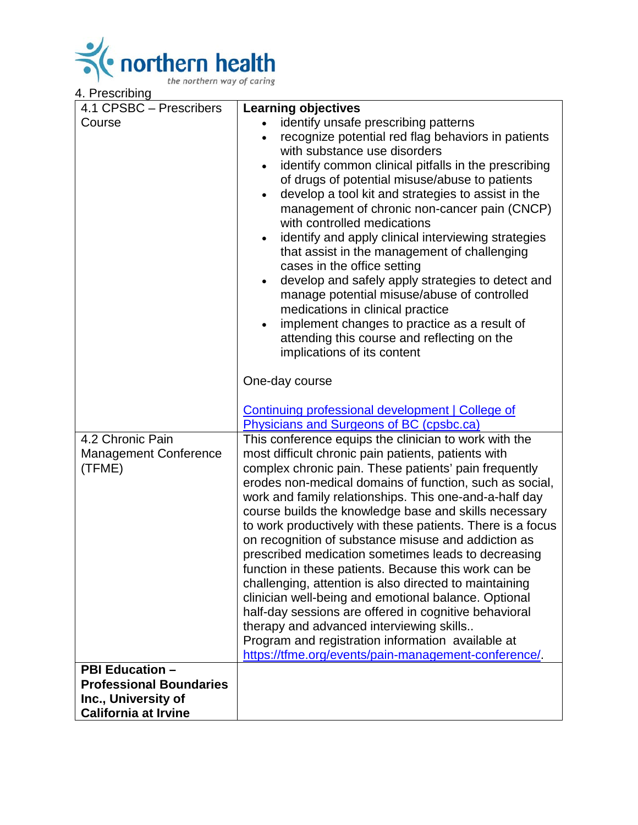

| 4.1 CPSBC - Prescribers                                                         | <b>Learning objectives</b>                                                                                                                                                                                                                                                                                                                                                                                                                                                                                                                                                                                                                                                                                                                                                                                                                                                                                                  |
|---------------------------------------------------------------------------------|-----------------------------------------------------------------------------------------------------------------------------------------------------------------------------------------------------------------------------------------------------------------------------------------------------------------------------------------------------------------------------------------------------------------------------------------------------------------------------------------------------------------------------------------------------------------------------------------------------------------------------------------------------------------------------------------------------------------------------------------------------------------------------------------------------------------------------------------------------------------------------------------------------------------------------|
| Course                                                                          | identify unsafe prescribing patterns<br>recognize potential red flag behaviors in patients<br>$\bullet$<br>with substance use disorders<br>identify common clinical pitfalls in the prescribing<br>of drugs of potential misuse/abuse to patients<br>develop a tool kit and strategies to assist in the<br>$\bullet$<br>management of chronic non-cancer pain (CNCP)<br>with controlled medications<br>identify and apply clinical interviewing strategies<br>that assist in the management of challenging<br>cases in the office setting<br>develop and safely apply strategies to detect and<br>manage potential misuse/abuse of controlled<br>medications in clinical practice<br>implement changes to practice as a result of<br>attending this course and reflecting on the<br>implications of its content                                                                                                             |
|                                                                                 | One-day course<br><b>Continuing professional development   College of</b><br>Physicians and Surgeons of BC (cpsbc.ca)                                                                                                                                                                                                                                                                                                                                                                                                                                                                                                                                                                                                                                                                                                                                                                                                       |
| 4.2 Chronic Pain<br><b>Management Conference</b><br>(TFME)                      | This conference equips the clinician to work with the<br>most difficult chronic pain patients, patients with<br>complex chronic pain. These patients' pain frequently<br>erodes non-medical domains of function, such as social,<br>work and family relationships. This one-and-a-half day<br>course builds the knowledge base and skills necessary<br>to work productively with these patients. There is a focus<br>on recognition of substance misuse and addiction as<br>prescribed medication sometimes leads to decreasing<br>function in these patients. Because this work can be<br>challenging, attention is also directed to maintaining<br>clinician well-being and emotional balance. Optional<br>half-day sessions are offered in cognitive behavioral<br>therapy and advanced interviewing skills<br>Program and registration information available at<br>https://tfme.org/events/pain-management-conference/. |
| <b>PBI Education -</b><br><b>Professional Boundaries</b><br>Inc., University of |                                                                                                                                                                                                                                                                                                                                                                                                                                                                                                                                                                                                                                                                                                                                                                                                                                                                                                                             |
| <b>California at Irvine</b>                                                     |                                                                                                                                                                                                                                                                                                                                                                                                                                                                                                                                                                                                                                                                                                                                                                                                                                                                                                                             |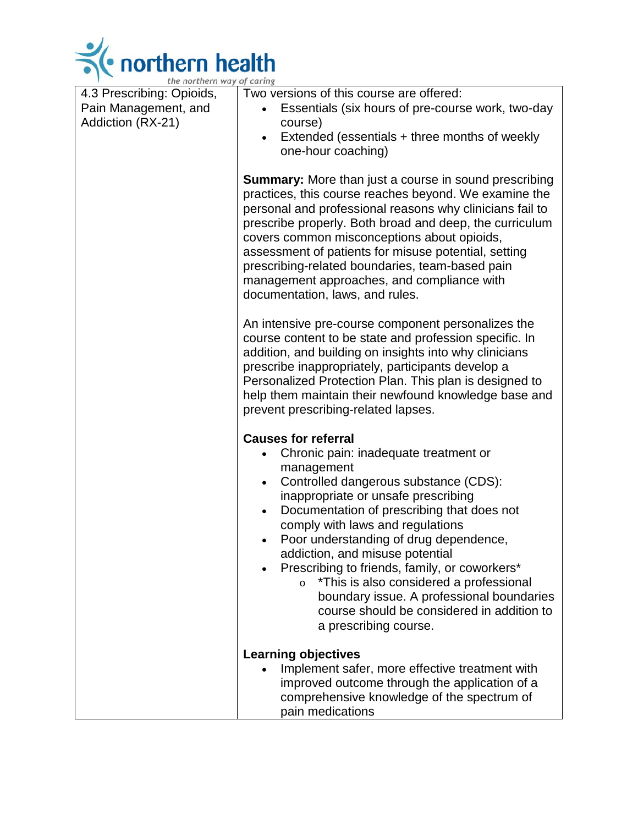

| the northern way of caring |                                                                                                                                                                                                                                                                                                                                                                                      |
|----------------------------|--------------------------------------------------------------------------------------------------------------------------------------------------------------------------------------------------------------------------------------------------------------------------------------------------------------------------------------------------------------------------------------|
| 4.3 Prescribing: Opioids,  | Two versions of this course are offered:                                                                                                                                                                                                                                                                                                                                             |
| Pain Management, and       | Essentials (six hours of pre-course work, two-day                                                                                                                                                                                                                                                                                                                                    |
| Addiction (RX-21)          | course)                                                                                                                                                                                                                                                                                                                                                                              |
|                            | Extended (essentials + three months of weekly                                                                                                                                                                                                                                                                                                                                        |
|                            | one-hour coaching)                                                                                                                                                                                                                                                                                                                                                                   |
|                            | Summary: More than just a course in sound prescribing<br>practices, this course reaches beyond. We examine the<br>personal and professional reasons why clinicians fail to<br>prescribe properly. Both broad and deep, the curriculum                                                                                                                                                |
|                            | covers common misconceptions about opioids,<br>assessment of patients for misuse potential, setting<br>prescribing-related boundaries, team-based pain<br>management approaches, and compliance with                                                                                                                                                                                 |
|                            | documentation, laws, and rules.                                                                                                                                                                                                                                                                                                                                                      |
|                            | An intensive pre-course component personalizes the<br>course content to be state and profession specific. In<br>addition, and building on insights into why clinicians<br>prescribe inappropriately, participants develop a<br>Personalized Protection Plan. This plan is designed to<br>help them maintain their newfound knowledge base and<br>prevent prescribing-related lapses. |
|                            |                                                                                                                                                                                                                                                                                                                                                                                      |
|                            | <b>Causes for referral</b>                                                                                                                                                                                                                                                                                                                                                           |
|                            | Chronic pain: inadequate treatment or                                                                                                                                                                                                                                                                                                                                                |
|                            | management                                                                                                                                                                                                                                                                                                                                                                           |
|                            | Controlled dangerous substance (CDS):<br>$\bullet$<br>inappropriate or unsafe prescribing                                                                                                                                                                                                                                                                                            |
|                            | Documentation of prescribing that does not                                                                                                                                                                                                                                                                                                                                           |
|                            | comply with laws and regulations                                                                                                                                                                                                                                                                                                                                                     |
|                            | Poor understanding of drug dependence,<br>$\bullet$                                                                                                                                                                                                                                                                                                                                  |
|                            | addiction, and misuse potential                                                                                                                                                                                                                                                                                                                                                      |
|                            | Prescribing to friends, family, or coworkers*                                                                                                                                                                                                                                                                                                                                        |
|                            | *This is also considered a professional<br>$\circ$                                                                                                                                                                                                                                                                                                                                   |
|                            | boundary issue. A professional boundaries                                                                                                                                                                                                                                                                                                                                            |
|                            | course should be considered in addition to                                                                                                                                                                                                                                                                                                                                           |
|                            | a prescribing course.                                                                                                                                                                                                                                                                                                                                                                |
|                            | <b>Learning objectives</b>                                                                                                                                                                                                                                                                                                                                                           |
|                            | Implement safer, more effective treatment with                                                                                                                                                                                                                                                                                                                                       |
|                            | improved outcome through the application of a                                                                                                                                                                                                                                                                                                                                        |
|                            | comprehensive knowledge of the spectrum of                                                                                                                                                                                                                                                                                                                                           |
|                            | pain medications                                                                                                                                                                                                                                                                                                                                                                     |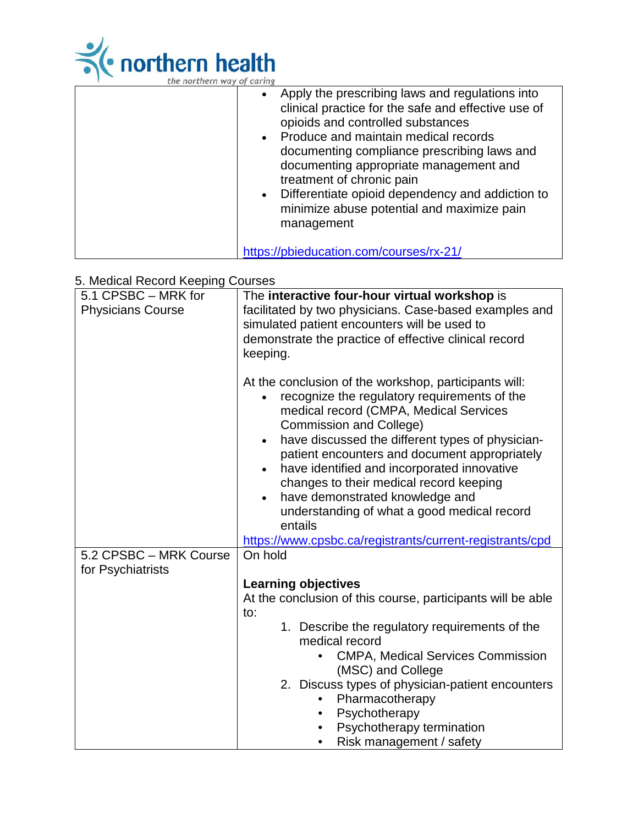

|  | the northern way of caring |  |  |
|--|----------------------------|--|--|
|  |                            |  |  |

| • Apply the prescribing laws and regulations into<br>clinical practice for the safe and effective use of<br>opioids and controlled substances<br>Produce and maintain medical records<br>documenting compliance prescribing laws and<br>documenting appropriate management and<br>treatment of chronic pain<br>Differentiate opioid dependency and addiction to<br>minimize abuse potential and maximize pain<br>management |
|-----------------------------------------------------------------------------------------------------------------------------------------------------------------------------------------------------------------------------------------------------------------------------------------------------------------------------------------------------------------------------------------------------------------------------|
| https://pbieducation.com/courses/rx-21/                                                                                                                                                                                                                                                                                                                                                                                     |

# 5. Medical Record Keeping Courses

| 5.1 CPSBC - MRK for<br><b>Physicians Course</b> | The interactive four-hour virtual workshop is<br>facilitated by two physicians. Case-based examples and<br>simulated patient encounters will be used to<br>demonstrate the practice of effective clinical record<br>keeping.                                                                                                                                                                                                                                                                                                                                        |
|-------------------------------------------------|---------------------------------------------------------------------------------------------------------------------------------------------------------------------------------------------------------------------------------------------------------------------------------------------------------------------------------------------------------------------------------------------------------------------------------------------------------------------------------------------------------------------------------------------------------------------|
|                                                 | At the conclusion of the workshop, participants will:<br>recognize the regulatory requirements of the<br>medical record (CMPA, Medical Services<br><b>Commission and College)</b><br>have discussed the different types of physician-<br>$\bullet$<br>patient encounters and document appropriately<br>have identified and incorporated innovative<br>changes to their medical record keeping<br>have demonstrated knowledge and<br>$\bullet$<br>understanding of what a good medical record<br>entails<br>https://www.cpsbc.ca/registrants/current-registrants/cpd |
| 5.2 CPSBC - MRK Course<br>for Psychiatrists     | On hold                                                                                                                                                                                                                                                                                                                                                                                                                                                                                                                                                             |
|                                                 | <b>Learning objectives</b><br>At the conclusion of this course, participants will be able<br>to:<br>1. Describe the regulatory requirements of the<br>medical record<br><b>CMPA, Medical Services Commission</b><br>(MSC) and College<br>2. Discuss types of physician-patient encounters<br>Pharmacotherapy<br>Psychotherapy<br>Psychotherapy termination<br>Risk management / safety                                                                                                                                                                              |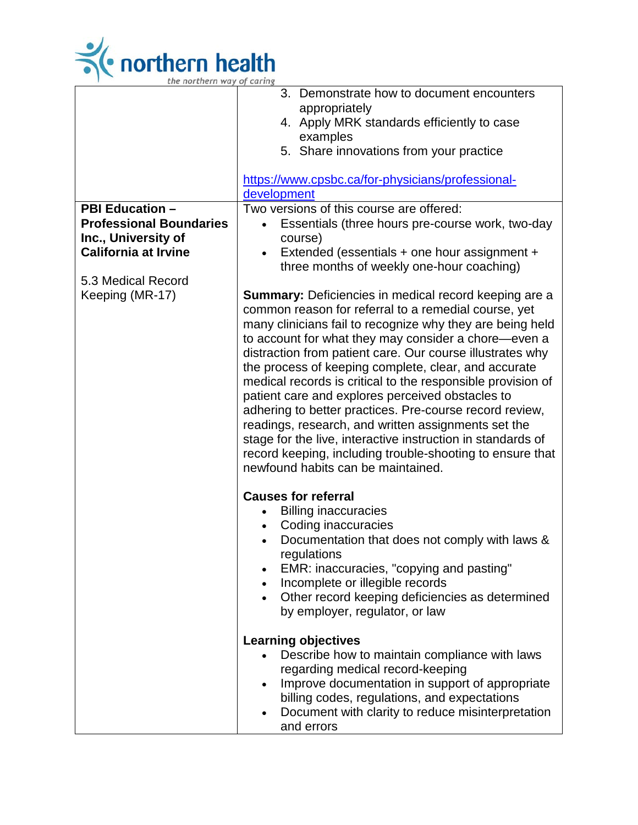

|                                | 3. Demonstrate how to document encounters                    |
|--------------------------------|--------------------------------------------------------------|
|                                | appropriately                                                |
|                                | 4. Apply MRK standards efficiently to case<br>examples       |
|                                | 5. Share innovations from your practice                      |
|                                |                                                              |
|                                | https://www.cpsbc.ca/for-physicians/professional-            |
|                                | development                                                  |
| <b>PBI Education -</b>         | Two versions of this course are offered:                     |
| <b>Professional Boundaries</b> | Essentials (three hours pre-course work, two-day             |
| Inc., University of            | course)                                                      |
| <b>California at Irvine</b>    | Extended (essentials + one hour assignment +                 |
| 5.3 Medical Record             | three months of weekly one-hour coaching)                    |
| Keeping (MR-17)                | <b>Summary:</b> Deficiencies in medical record keeping are a |
|                                | common reason for referral to a remedial course, yet         |
|                                | many clinicians fail to recognize why they are being held    |
|                                | to account for what they may consider a chore-even a         |
|                                | distraction from patient care. Our course illustrates why    |
|                                | the process of keeping complete, clear, and accurate         |
|                                | medical records is critical to the responsible provision of  |
|                                | patient care and explores perceived obstacles to             |
|                                | adhering to better practices. Pre-course record review,      |
|                                | readings, research, and written assignments set the          |
|                                | stage for the live, interactive instruction in standards of  |
|                                | record keeping, including trouble-shooting to ensure that    |
|                                | newfound habits can be maintained.                           |
|                                |                                                              |
|                                | <b>Causes for referral</b>                                   |
|                                | <b>Billing inaccuracies</b><br>Coding inaccuracies           |
|                                | Documentation that does not comply with laws &               |
|                                | regulations                                                  |
|                                | EMR: inaccuracies, "copying and pasting"                     |
|                                | Incomplete or illegible records                              |
|                                | Other record keeping deficiencies as determined              |
|                                | by employer, regulator, or law                               |
|                                |                                                              |
|                                | <b>Learning objectives</b>                                   |
|                                | Describe how to maintain compliance with laws                |
|                                | regarding medical record-keeping                             |
|                                | Improve documentation in support of appropriate              |
|                                | billing codes, regulations, and expectations                 |
|                                | Document with clarity to reduce misinterpretation            |
|                                | and errors                                                   |